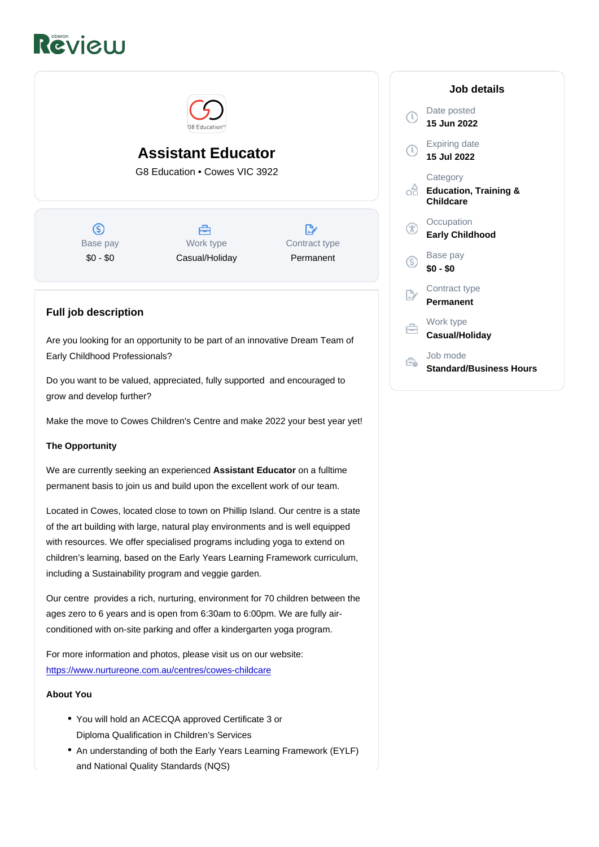## Assistant Educator

G8 Education • Cowes VIC 3922

Base pay \$0 - \$0

Work type Casual/Holiday Contract type Permanent

## Full job description

Are you looking for an opportunity to be part of an innovative Dream Team of Early Childhood Professionals?

Do you want to be valued, appreciated, fully supported and encouraged to grow and develop further?

Make the move to Cowes Children's Centre and make 2022 your best year yet!

The Opportunity

We are currently seeking an experienced Assistant Educator on a fulltime permanent basis to join us and build upon the excellent work of our team.

Located in Cowes, located close to town on Phillip Island. Our centre is a state of the art building with large, natural play environments and is well equipped with resources. We offer specialised programs including yoga to extend on children's learning, based on the Early Years Learning Framework curriculum, including a Sustainability program and veggie garden.

Our centre provides a rich, nurturing, environment for 70 children between the ages zero to 6 years and is open from 6:30am to 6:00pm. We are fully airconditioned with on-site parking and offer a kindergarten yoga program.

For more information and photos, please visit us on our website: [https://www.nurtureone.com.au/centres/cowes-childcare](https://www.nurtureone.com.au/centres/cowes-childcare/?utm_source=google&utm_medium=organic&utm_campaign=gmb)

About You

- You will hold an ACECQA approved Certificate 3 or Diploma Qualification in Children's Services
- An understanding of both the Early Years Learning Framework (EYLF) and National Quality Standards (NQS)

Job details

Date posted 15 Jun 2022

Expiring date 15 Jul 2022

**Category** Education, Training & Childcare

**Occupation** Early Childhood

Base pay \$0 - \$0

Contract type Permanent

Work type Casual/Holiday

Job mode Standard/Business Hours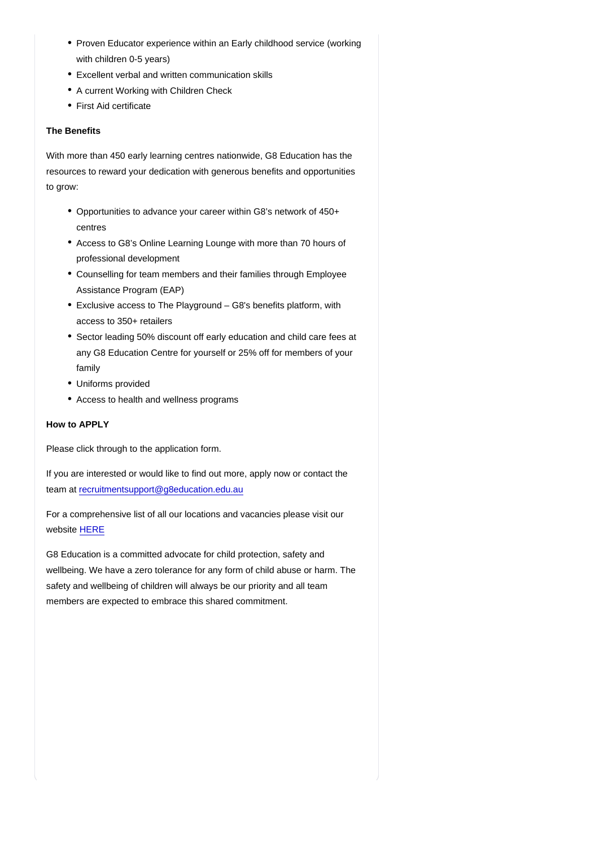- Proven Educator experience within an Early childhood service (working with children 0-5 years)
- Excellent verbal and written communication skills
- A current Working with Children Check
- First Aid certificate

## The Benefits

With more than 450 early learning centres nationwide, G8 Education has the resources to reward your dedication with generous benefits and opportunities to grow:

- Opportunities to advance your career within G8's network of 450+ centres
- Access to G8's Online Learning Lounge with more than 70 hours of professional development
- Counselling for team members and their families through Employee Assistance Program (EAP)
- Exclusive access to The Playground G8's benefits platform, with access to 350+ retailers
- Sector leading 50% discount off early education and child care fees at any G8 Education Centre for yourself or 25% off for members of your family
- Uniforms provided
- Access to health and wellness programs

How to APPLY

Please click through to the application form.

If you are interested or would like to find out more, apply now or contact the team at [recruitmentsupport@g8education.edu.au](mailto:recruitmentsupport@g8education.edu.au)

For a comprehensive list of all our locations and vacancies please visit our website [HERE](https://jobs.g8education.edu.au/en/listing/)

G8 Education is a committed advocate for child protection, safety and wellbeing. We have a zero tolerance for any form of child abuse or harm. The safety and wellbeing of children will always be our priority and all team members are expected to embrace this shared commitment.